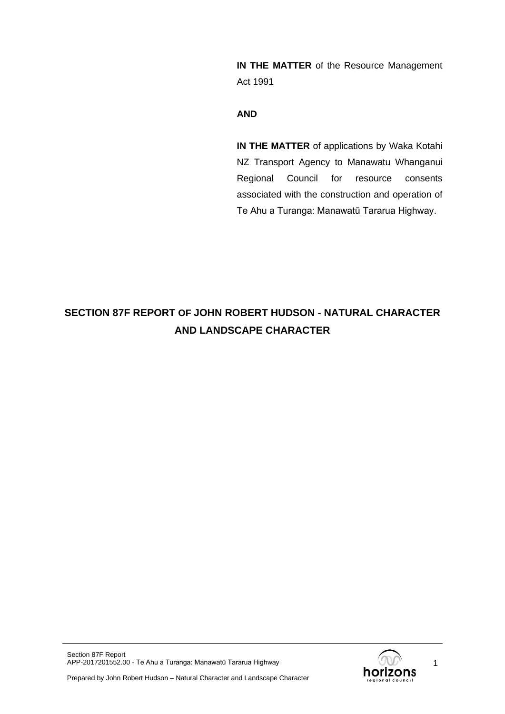**IN THE MATTER** of the Resource Management Act 1991

### **AND**

**IN THE MATTER** of applications by Waka Kotahi NZ Transport Agency to Manawatu Whanganui Regional Council for resource consents associated with the construction and operation of Te Ahu a Turanga: Manawatū Tararua Highway.

# **SECTION 87F REPORT OF JOHN ROBERT HUDSON - NATURAL CHARACTER AND LANDSCAPE CHARACTER**



1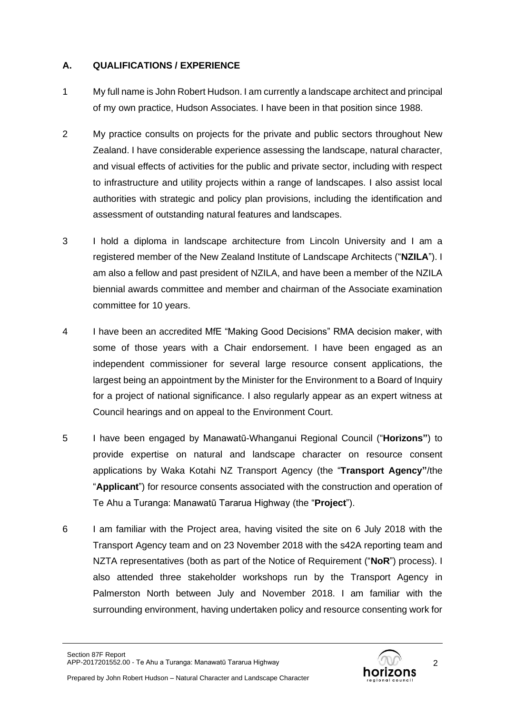## **A. QUALIFICATIONS / EXPERIENCE**

- 1 My full name is John Robert Hudson. I am currently a landscape architect and principal of my own practice, Hudson Associates. I have been in that position since 1988.
- 2 My practice consults on projects for the private and public sectors throughout New Zealand. I have considerable experience assessing the landscape, natural character, and visual effects of activities for the public and private sector, including with respect to infrastructure and utility projects within a range of landscapes. I also assist local authorities with strategic and policy plan provisions, including the identification and assessment of outstanding natural features and landscapes.
- 3 I hold a diploma in landscape architecture from Lincoln University and I am a registered member of the New Zealand Institute of Landscape Architects ("**NZILA**"). I am also a fellow and past president of NZILA, and have been a member of the NZILA biennial awards committee and member and chairman of the Associate examination committee for 10 years.
- 4 I have been an accredited MfE "Making Good Decisions" RMA decision maker, with some of those years with a Chair endorsement. I have been engaged as an independent commissioner for several large resource consent applications, the largest being an appointment by the Minister for the Environment to a Board of Inquiry for a project of national significance. I also regularly appear as an expert witness at Council hearings and on appeal to the Environment Court.
- 5 I have been engaged by Manawatū-Whanganui Regional Council ("**Horizons"**) to provide expertise on natural and landscape character on resource consent applications by Waka Kotahi NZ Transport Agency (the "**Transport Agency"**/the "**Applicant**") for resource consents associated with the construction and operation of Te Ahu a Turanga: Manawatū Tararua Highway (the "**Project**").
- 6 I am familiar with the Project area, having visited the site on 6 July 2018 with the Transport Agency team and on 23 November 2018 with the s42A reporting team and NZTA representatives (both as part of the Notice of Requirement ("**NoR**") process). I also attended three stakeholder workshops run by the Transport Agency in Palmerston North between July and November 2018. I am familiar with the surrounding environment, having undertaken policy and resource consenting work for

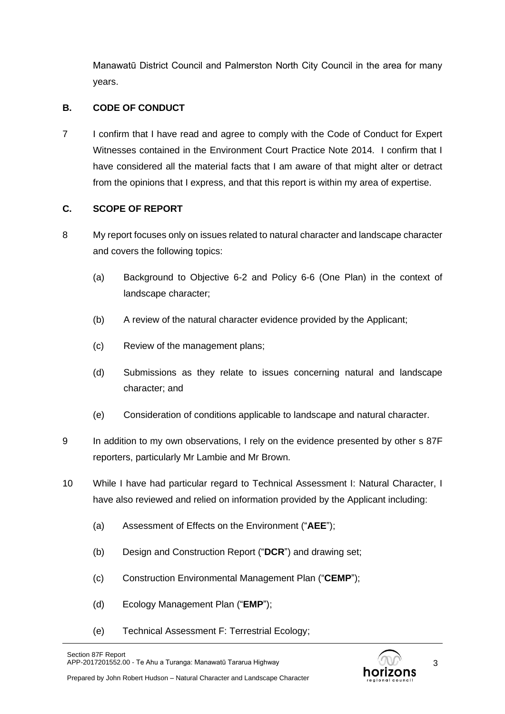Manawatū District Council and Palmerston North City Council in the area for many years.

## **B. CODE OF CONDUCT**

7 I confirm that I have read and agree to comply with the Code of Conduct for Expert Witnesses contained in the Environment Court Practice Note 2014. I confirm that I have considered all the material facts that I am aware of that might alter or detract from the opinions that I express, and that this report is within my area of expertise.

## **C. SCOPE OF REPORT**

- 8 My report focuses only on issues related to natural character and landscape character and covers the following topics:
	- (a) Background to Objective 6-2 and Policy 6-6 (One Plan) in the context of landscape character;
	- (b) A review of the natural character evidence provided by the Applicant;
	- (c) Review of the management plans;
	- (d) Submissions as they relate to issues concerning natural and landscape character; and
	- (e) Consideration of conditions applicable to landscape and natural character.
- 9 In addition to my own observations, I rely on the evidence presented by other s 87F reporters, particularly Mr Lambie and Mr Brown.
- 10 While I have had particular regard to Technical Assessment I: Natural Character, I have also reviewed and relied on information provided by the Applicant including:
	- (a) Assessment of Effects on the Environment ("**AEE**");
	- (b) Design and Construction Report ("**DCR**") and drawing set;
	- (c) Construction Environmental Management Plan ("**CEMP**");
	- (d) Ecology Management Plan ("**EMP**");
	- (e) Technical Assessment F: Terrestrial Ecology;

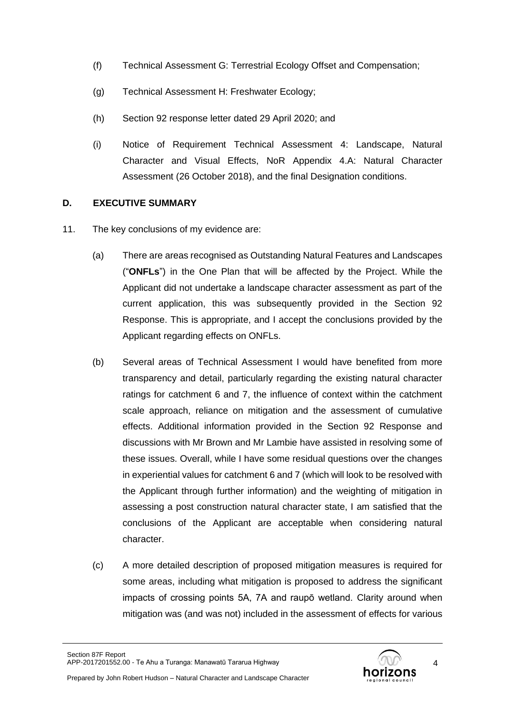- (f) Technical Assessment G: Terrestrial Ecology Offset and Compensation;
- (g) Technical Assessment H: Freshwater Ecology;
- (h) Section 92 response letter dated 29 April 2020; and
- (i) Notice of Requirement Technical Assessment 4: Landscape, Natural Character and Visual Effects, NoR Appendix 4.A: Natural Character Assessment (26 October 2018), and the final Designation conditions.

## **D. EXECUTIVE SUMMARY**

- 11. The key conclusions of my evidence are:
	- (a) There are areas recognised as Outstanding Natural Features and Landscapes ("**ONFLs**") in the One Plan that will be affected by the Project. While the Applicant did not undertake a landscape character assessment as part of the current application, this was subsequently provided in the Section 92 Response. This is appropriate, and I accept the conclusions provided by the Applicant regarding effects on ONFLs.
	- (b) Several areas of Technical Assessment I would have benefited from more transparency and detail, particularly regarding the existing natural character ratings for catchment 6 and 7, the influence of context within the catchment scale approach, reliance on mitigation and the assessment of cumulative effects. Additional information provided in the Section 92 Response and discussions with Mr Brown and Mr Lambie have assisted in resolving some of these issues. Overall, while I have some residual questions over the changes in experiential values for catchment 6 and 7 (which will look to be resolved with the Applicant through further information) and the weighting of mitigation in assessing a post construction natural character state, I am satisfied that the conclusions of the Applicant are acceptable when considering natural character.
	- (c) A more detailed description of proposed mitigation measures is required for some areas, including what mitigation is proposed to address the significant impacts of crossing points 5A, 7A and raupō wetland. Clarity around when mitigation was (and was not) included in the assessment of effects for various

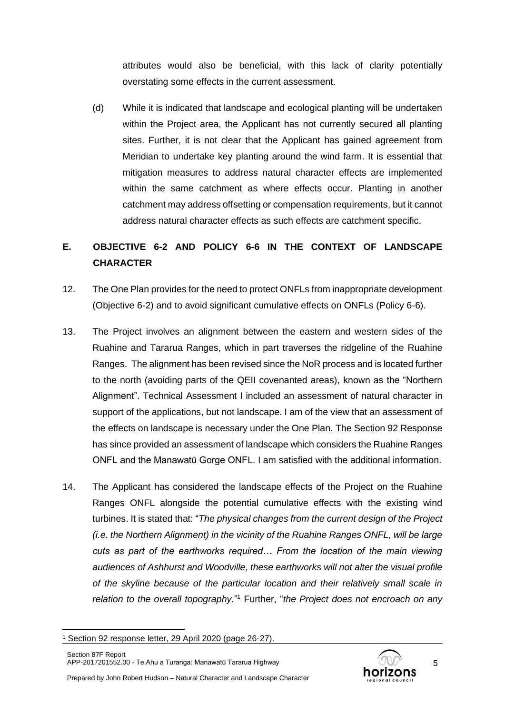attributes would also be beneficial, with this lack of clarity potentially overstating some effects in the current assessment.

(d) While it is indicated that landscape and ecological planting will be undertaken within the Project area, the Applicant has not currently secured all planting sites. Further, it is not clear that the Applicant has gained agreement from Meridian to undertake key planting around the wind farm. It is essential that mitigation measures to address natural character effects are implemented within the same catchment as where effects occur. Planting in another catchment may address offsetting or compensation requirements, but it cannot address natural character effects as such effects are catchment specific.

# **E. OBJECTIVE 6-2 AND POLICY 6-6 IN THE CONTEXT OF LANDSCAPE CHARACTER**

- 12. The One Plan provides for the need to protect ONFLs from inappropriate development (Objective 6-2) and to avoid significant cumulative effects on ONFLs (Policy 6-6).
- 13. The Project involves an alignment between the eastern and western sides of the Ruahine and Tararua Ranges, which in part traverses the ridgeline of the Ruahine Ranges. The alignment has been revised since the NoR process and is located further to the north (avoiding parts of the QEII covenanted areas), known as the "Northern Alignment". Technical Assessment I included an assessment of natural character in support of the applications, but not landscape. I am of the view that an assessment of the effects on landscape is necessary under the One Plan. The Section 92 Response has since provided an assessment of landscape which considers the Ruahine Ranges ONFL and the Manawatū Gorge ONFL. I am satisfied with the additional information.
- 14. The Applicant has considered the landscape effects of the Project on the Ruahine Ranges ONFL alongside the potential cumulative effects with the existing wind turbines. It is stated that: "*The physical changes from the current design of the Project (i.e. the Northern Alignment) in the vicinity of the Ruahine Ranges ONFL, will be large cuts as part of the earthworks required… From the location of the main viewing audiences of Ashhurst and Woodville, these earthworks will not alter the visual profile of the skyline because of the particular location and their relatively small scale in*  relation to the overall topography."<sup>1</sup> Further, "the Project does not encroach on any



<sup>1</sup> Section 92 response letter, 29 April 2020 (page 26-27).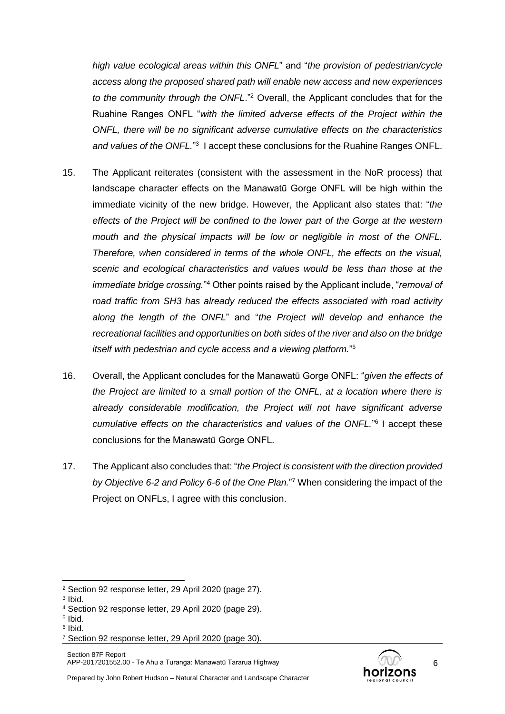*high value ecological areas within this ONFL*" and "*the provision of pedestrian/cycle access along the proposed shared path will enable new access and new experiences to the community through the ONFL*."<sup>2</sup> Overall, the Applicant concludes that for the Ruahine Ranges ONFL "*with the limited adverse effects of the Project within the ONFL, there will be no significant adverse cumulative effects on the characteristics*  and values of the ONFL."<sup>3</sup> I accept these conclusions for the Ruahine Ranges ONFL.

- 15. The Applicant reiterates (consistent with the assessment in the NoR process) that landscape character effects on the Manawatū Gorge ONFL will be high within the immediate vicinity of the new bridge. However, the Applicant also states that: "*the effects of the Project will be confined to the lower part of the Gorge at the western mouth and the physical impacts will be low or negligible in most of the ONFL. Therefore, when considered in terms of the whole ONFL, the effects on the visual, scenic and ecological characteristics and values would be less than those at the immediate bridge crossing.*" <sup>4</sup> Other points raised by the Applicant include, "*removal of road traffic from SH3 has already reduced the effects associated with road activity along the length of the ONFL*" and "*the Project will develop and enhance the recreational facilities and opportunities on both sides of the river and also on the bridge itself with pedestrian and cycle access and a viewing platform.*" 5
- 16. Overall, the Applicant concludes for the Manawatū Gorge ONFL: "*given the effects of the Project are limited to a small portion of the ONFL, at a location where there is already considerable modification, the Project will not have significant adverse cumulative effects on the characteristics and values of the ONFL.*" 6 I accept these conclusions for the Manawatū Gorge ONFL.
- 17. The Applicant also concludes that: "*the Project is consistent with the direction provided by Objective 6-2 and Policy 6-6 of the One Plan.*" <sup>7</sup> When considering the impact of the Project on ONFLs, I agree with this conclusion.

3 Ibid.

- 5 Ibid.
- 6 Ibid.



<sup>2</sup> Section 92 response letter, 29 April 2020 (page 27).

<sup>4</sup> Section 92 response letter, 29 April 2020 (page 29).

<sup>7</sup> Section 92 response letter, 29 April 2020 (page 30).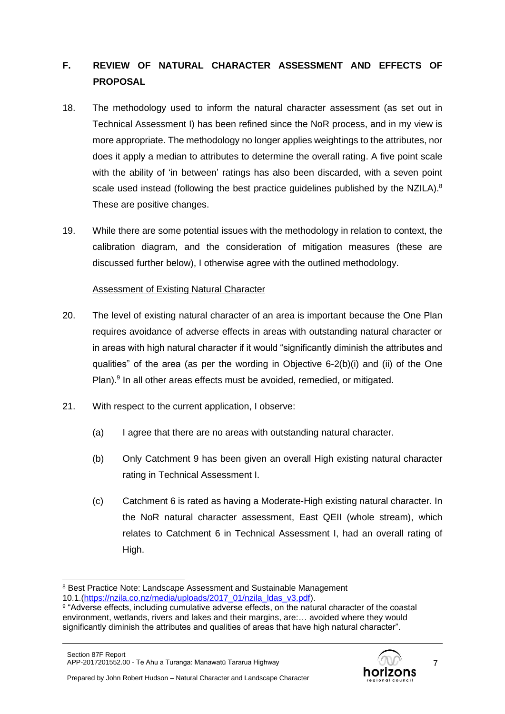# **F. REVIEW OF NATURAL CHARACTER ASSESSMENT AND EFFECTS OF PROPOSAL**

- 18. The methodology used to inform the natural character assessment (as set out in Technical Assessment I) has been refined since the NoR process, and in my view is more appropriate. The methodology no longer applies weightings to the attributes, nor does it apply a median to attributes to determine the overall rating. A five point scale with the ability of 'in between' ratings has also been discarded, with a seven point scale used instead (following the best practice guidelines published by the NZILA).<sup>8</sup> These are positive changes.
- 19. While there are some potential issues with the methodology in relation to context, the calibration diagram, and the consideration of mitigation measures (these are discussed further below), I otherwise agree with the outlined methodology.

## Assessment of Existing Natural Character

- 20. The level of existing natural character of an area is important because the One Plan requires avoidance of adverse effects in areas with outstanding natural character or in areas with high natural character if it would "significantly diminish the attributes and qualities" of the area (as per the wording in Objective 6-2(b)(i) and (ii) of the One Plan).<sup>9</sup> In all other areas effects must be avoided, remedied, or mitigated.
- 21. With respect to the current application, I observe:
	- (a) I agree that there are no areas with outstanding natural character.
	- (b) Only Catchment 9 has been given an overall High existing natural character rating in Technical Assessment I.
	- (c) Catchment 6 is rated as having a Moderate-High existing natural character. In the NoR natural character assessment, East QEII (whole stream), which relates to Catchment 6 in Technical Assessment I, had an overall rating of High.



<sup>8</sup> Best Practice Note: Landscape Assessment and Sustainable Management 10.1.[\(https://nzila.co.nz/media/uploads/2017\\_01/nzila\\_ldas\\_v3.pdf\)](https://nzila.co.nz/media/uploads/2017_01/nzila_ldas_v3.pdf).

<sup>&</sup>lt;sup>9</sup> "Adverse effects, including cumulative adverse effects, on the natural character of the coastal environment, wetlands, rivers and lakes and their margins, are:… avoided where they would significantly diminish the attributes and qualities of areas that have high natural character".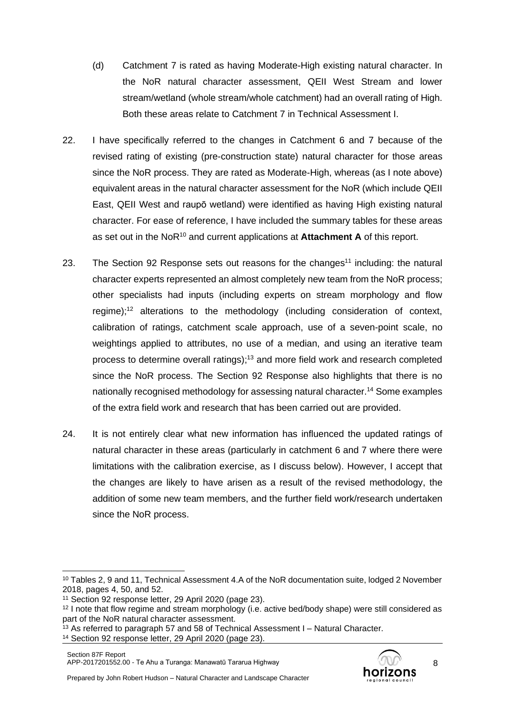- (d) Catchment 7 is rated as having Moderate-High existing natural character. In the NoR natural character assessment, QEII West Stream and lower stream/wetland (whole stream/whole catchment) had an overall rating of High. Both these areas relate to Catchment 7 in Technical Assessment I.
- 22. I have specifically referred to the changes in Catchment 6 and 7 because of the revised rating of existing (pre-construction state) natural character for those areas since the NoR process. They are rated as Moderate-High, whereas (as I note above) equivalent areas in the natural character assessment for the NoR (which include QEII East, QEII West and raupō wetland) were identified as having High existing natural character. For ease of reference, I have included the summary tables for these areas as set out in the NoR<sup>10</sup> and current applications at **Attachment A** of this report.
- 23. The Section 92 Response sets out reasons for the changes<sup>11</sup> including: the natural character experts represented an almost completely new team from the NoR process; other specialists had inputs (including experts on stream morphology and flow regime); <sup>12</sup> alterations to the methodology (including consideration of context, calibration of ratings, catchment scale approach, use of a seven-point scale, no weightings applied to attributes, no use of a median, and using an iterative team process to determine overall ratings); <sup>13</sup> and more field work and research completed since the NoR process. The Section 92 Response also highlights that there is no nationally recognised methodology for assessing natural character.<sup>14</sup> Some examples of the extra field work and research that has been carried out are provided.
- 24. It is not entirely clear what new information has influenced the updated ratings of natural character in these areas (particularly in catchment 6 and 7 where there were limitations with the calibration exercise, as I discuss below). However, I accept that the changes are likely to have arisen as a result of the revised methodology, the addition of some new team members, and the further field work/research undertaken since the NoR process.



<sup>10</sup> Tables 2, 9 and 11, Technical Assessment 4.A of the NoR documentation suite, lodged 2 November 2018, pages 4, 50, and 52.

<sup>11</sup> Section 92 response letter, 29 April 2020 (page 23).

<sup>&</sup>lt;sup>12</sup> I note that flow regime and stream morphology (i.e. active bed/body shape) were still considered as part of the NoR natural character assessment.

 $13$  As referred to paragraph 57 and 58 of Technical Assessment I – Natural Character.

<sup>14</sup> Section 92 response letter, 29 April 2020 (page 23).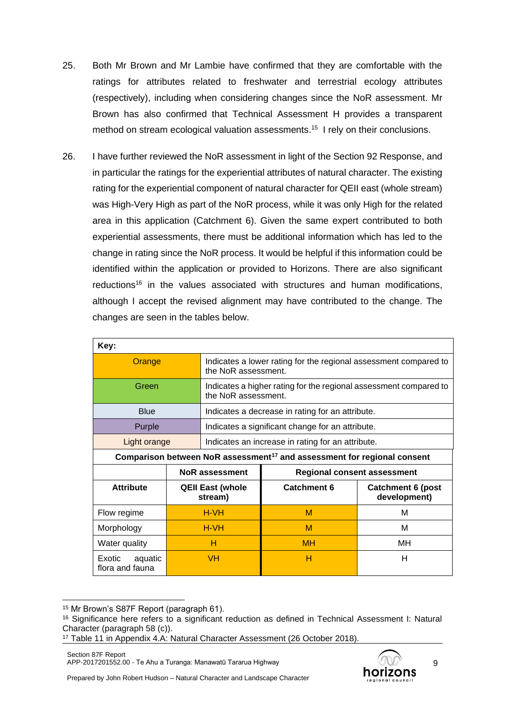- 25. Both Mr Brown and Mr Lambie have confirmed that they are comfortable with the ratings for attributes related to freshwater and terrestrial ecology attributes (respectively), including when considering changes since the NoR assessment. Mr Brown has also confirmed that Technical Assessment H provides a transparent method on stream ecological valuation assessments.<sup>15</sup> I rely on their conclusions.
- 26. I have further reviewed the NoR assessment in light of the Section 92 Response, and in particular the ratings for the experiential attributes of natural character. The existing rating for the experiential component of natural character for QEII east (whole stream) was High-Very High as part of the NoR process, while it was only High for the related area in this application (Catchment 6). Given the same expert contributed to both experiential assessments, there must be additional information which has led to the change in rating since the NoR process. It would be helpful if this information could be identified within the application or provided to Horizons. There are also significant  $reductions<sup>16</sup>$  in the values associated with structures and human modifications, although I accept the revised alignment may have contributed to the change. The changes are seen in the tables below.

| Key:                                 |  |                                                                                          |                                                                                     |                                          |  |
|--------------------------------------|--|------------------------------------------------------------------------------------------|-------------------------------------------------------------------------------------|------------------------------------------|--|
| Orange                               |  | Indicates a lower rating for the regional assessment compared to<br>the NoR assessment.  |                                                                                     |                                          |  |
| Green                                |  | Indicates a higher rating for the regional assessment compared to<br>the NoR assessment. |                                                                                     |                                          |  |
| <b>Blue</b>                          |  |                                                                                          | Indicates a decrease in rating for an attribute.                                    |                                          |  |
| Purple                               |  | Indicates a significant change for an attribute.                                         |                                                                                     |                                          |  |
| Light orange                         |  | Indicates an increase in rating for an attribute.                                        |                                                                                     |                                          |  |
|                                      |  |                                                                                          | Comparison between NoR assessment <sup>17</sup> and assessment for regional consent |                                          |  |
|                                      |  | <b>NoR</b> assessment<br><b>Regional consent assessment</b>                              |                                                                                     |                                          |  |
| <b>Attribute</b>                     |  | <b>Catchment 6</b><br><b>QEII East (whole</b><br>stream)                                 |                                                                                     | <b>Catchment 6 (post</b><br>development) |  |
| Flow regime                          |  | H-VH                                                                                     | M                                                                                   | м                                        |  |
| Morphology                           |  | H-VH                                                                                     | м                                                                                   | м                                        |  |
| Water quality                        |  | н                                                                                        | <b>MH</b>                                                                           | MН                                       |  |
| Exotic<br>aquatic<br>flora and fauna |  | <b>VH</b>                                                                                | н                                                                                   | н                                        |  |

<sup>&</sup>lt;sup>15</sup> Mr Brown's S87F Report (paragraph 61).



<sup>16</sup> Significance here refers to a significant reduction as defined in Technical Assessment I: Natural Character (paragraph 58 (c)).

<sup>17</sup> Table 11 in Appendix 4.A: Natural Character Assessment (26 October 2018).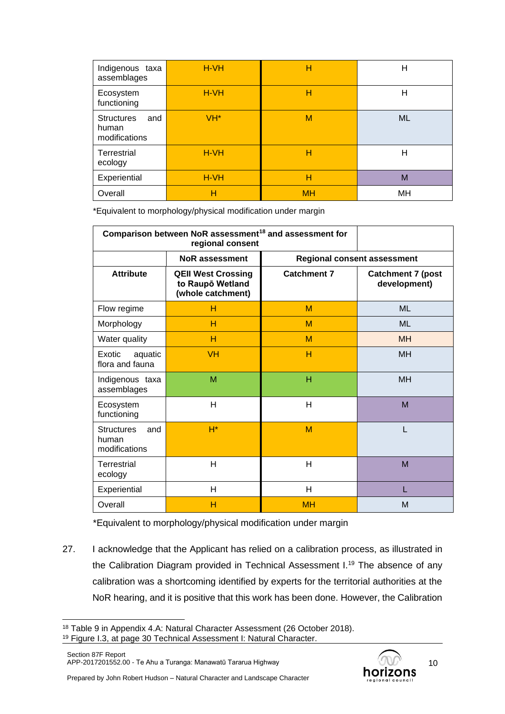| Indigenous taxa<br>assemblages                     | $H-VH$          | Н         | Н         |
|----------------------------------------------------|-----------------|-----------|-----------|
| Ecosystem<br>functioning                           | H-VH            | Н         | Н         |
| <b>Structures</b><br>and<br>human<br>modifications | VH <sup>*</sup> | M         | <b>ML</b> |
| Terrestrial<br>ecology                             | H-VH            | н         | н         |
| Experiential                                       | H-VH            | н         | M         |
| Overall                                            | н               | <b>MH</b> | MН        |

\*Equivalent to morphology/physical modification under margin

| Comparison between NoR assessment <sup>18</sup> and assessment for |                                                                    |                    |                                          |  |
|--------------------------------------------------------------------|--------------------------------------------------------------------|--------------------|------------------------------------------|--|
|                                                                    | <b>Regional consent assessment</b>                                 |                    |                                          |  |
| <b>Attribute</b>                                                   | <b>QEII West Crossing</b><br>to Raupō Wetland<br>(whole catchment) | <b>Catchment 7</b> | <b>Catchment 7 (post</b><br>development) |  |
| Flow regime                                                        | н                                                                  | M                  | <b>ML</b>                                |  |
| Morphology                                                         | н                                                                  | M                  | <b>ML</b>                                |  |
| Water quality                                                      | н                                                                  | м                  | <b>MH</b>                                |  |
| Exotic<br>aquatic<br>flora and fauna                               | <b>VH</b>                                                          | н                  | <b>MH</b>                                |  |
| Indigenous taxa<br>assemblages                                     | M                                                                  | н                  | <b>MH</b>                                |  |
| Ecosystem<br>functioning                                           | H                                                                  | Н                  | M                                        |  |
| <b>Structures</b><br>and<br>human<br>modifications                 | $H^*$                                                              | M                  |                                          |  |
| Terrestrial<br>ecology                                             | H                                                                  | н                  | M                                        |  |
| Experiential                                                       | H                                                                  | Н                  |                                          |  |
| Overall                                                            | н                                                                  | <b>MH</b>          | M                                        |  |

\*Equivalent to morphology/physical modification under margin

27. I acknowledge that the Applicant has relied on a calibration process, as illustrated in the Calibration Diagram provided in Technical Assessment I.<sup>19</sup> The absence of any calibration was a shortcoming identified by experts for the territorial authorities at the NoR hearing, and it is positive that this work has been done. However, the Calibration



<sup>18</sup> Table 9 in Appendix 4.A: Natural Character Assessment (26 October 2018).

<sup>19</sup> Figure I.3, at page 30 Technical Assessment I: Natural Character.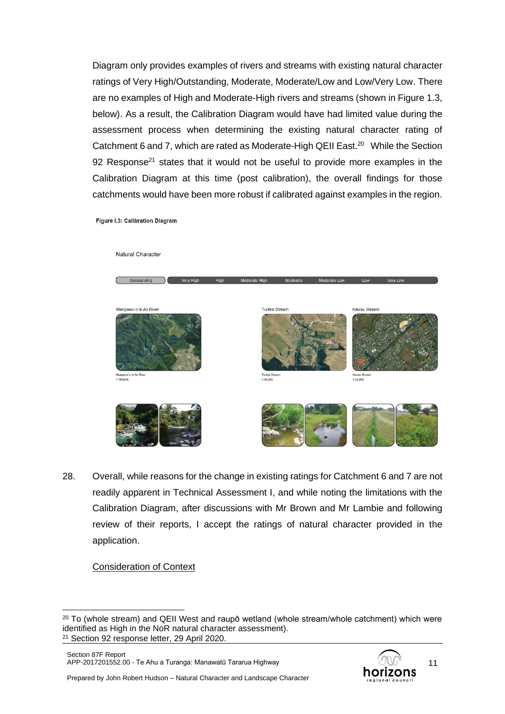Diagram only provides examples of rivers and streams with existing natural character ratings of Very High/Outstanding, Moderate, Moderate/Low and Low/Very Low. There are no examples of High and Moderate-High rivers and streams (shown in Figure 1.3, below). As a result, the Calibration Diagram would have had limited value during the assessment process when determining the existing natural character rating of Catchment 6 and 7, which are rated as Moderate-High QEII East.<sup>20</sup> While the Section 92 Response<sup>21</sup> states that it would not be useful to provide more examples in the Calibration Diagram at this time (post calibration), the overall findings for those catchments would have been more robust if calibrated against examples in the region.

Figure I.3: Calibration Diagram



28. Overall, while reasons for the change in existing ratings for Catchment 6 and 7 are not readily apparent in Technical Assessment I, and while noting the limitations with the Calibration Diagram, after discussions with Mr Brown and Mr Lambie and following review of their reports, I accept the ratings of natural character provided in the application.

#### Consideration of Context



 $20$  To (whole stream) and QEII West and raupō wetland (whole stream/whole catchment) which were identified as High in the NoR natural character assessment). <sup>21</sup> Section 92 response letter, 29 April 2020.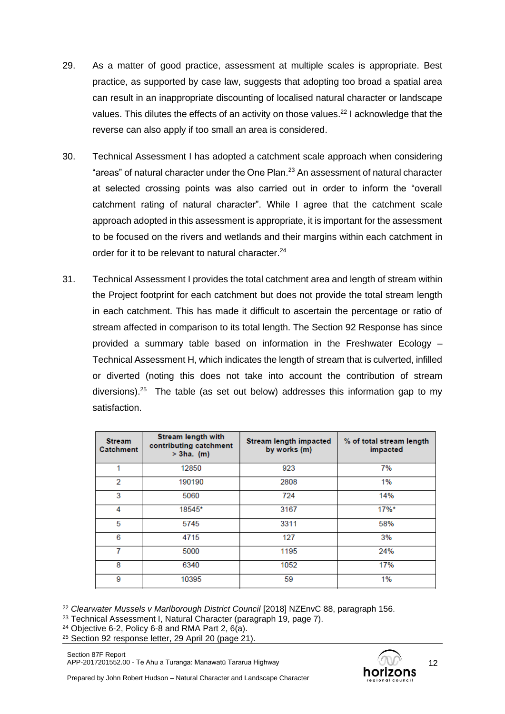- 29. As a matter of good practice, assessment at multiple scales is appropriate. Best practice, as supported by case law, suggests that adopting too broad a spatial area can result in an inappropriate discounting of localised natural character or landscape values. This dilutes the effects of an activity on those values.<sup>22</sup> I acknowledge that the reverse can also apply if too small an area is considered.
- 30. Technical Assessment I has adopted a catchment scale approach when considering "areas" of natural character under the One Plan.<sup>23</sup> An assessment of natural character at selected crossing points was also carried out in order to inform the "overall catchment rating of natural character". While I agree that the catchment scale approach adopted in this assessment is appropriate, it is important for the assessment to be focused on the rivers and wetlands and their margins within each catchment in order for it to be relevant to natural character.<sup>24</sup>
- 31. Technical Assessment I provides the total catchment area and length of stream within the Project footprint for each catchment but does not provide the total stream length in each catchment. This has made it difficult to ascertain the percentage or ratio of stream affected in comparison to its total length. The Section 92 Response has since provided a summary table based on information in the Freshwater Ecology – Technical Assessment H, which indicates the length of stream that is culverted, infilled or diverted (noting this does not take into account the contribution of stream diversions).<sup>25</sup> The table (as set out below) addresses this information gap to my satisfaction.

| <b>Stream</b><br><b>Catchment</b> | Stream length with<br>contributing catchment<br>$> 3$ ha. (m) | <b>Stream length impacted</b><br>by works (m) | % of total stream length<br>impacted |
|-----------------------------------|---------------------------------------------------------------|-----------------------------------------------|--------------------------------------|
|                                   | 12850                                                         | 923                                           | 7%                                   |
| 2                                 | 190190                                                        | 2808                                          | 1%                                   |
| 3                                 | 5060                                                          | 724                                           | 14%                                  |
| 4                                 | 18545*                                                        | 3167                                          | $17\%$ *                             |
| 5                                 | 5745                                                          | 3311                                          | 58%                                  |
| 6                                 | 4715                                                          | 127                                           | 3%                                   |
| 7                                 | 5000                                                          | 1195                                          | 24%                                  |
| 8                                 | 6340                                                          | 1052                                          | 17%                                  |
| 9                                 | 10395                                                         | 59                                            | 1%                                   |

<sup>22</sup> *Clearwater Mussels v Marlborough District Council* [2018] NZEnvC 88, paragraph 156.

<sup>23</sup> Technical Assessment I, Natural Character (paragraph 19, page 7).

- <sup>24</sup> Objective 6-2, Policy 6-8 and RMA Part 2,  $6(a)$ .
- <sup>25</sup> Section 92 response letter, 29 April 20 (page 21).

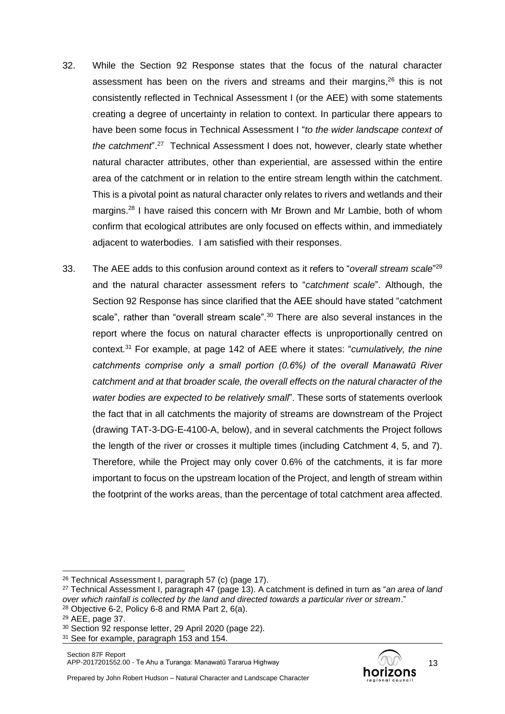- 32. While the Section 92 Response states that the focus of the natural character assessment has been on the rivers and streams and their margins,<sup>26</sup> this is not consistently reflected in Technical Assessment I (or the AEE) with some statements creating a degree of uncertainty in relation to context. In particular there appears to have been some focus in Technical Assessment I "*to the wider landscape context of the catchment*". <sup>27</sup> Technical Assessment I does not, however, clearly state whether natural character attributes, other than experiential, are assessed within the entire area of the catchment or in relation to the entire stream length within the catchment. This is a pivotal point as natural character only relates to rivers and wetlands and their margins.<sup>28</sup> I have raised this concern with Mr Brown and Mr Lambie, both of whom confirm that ecological attributes are only focused on effects within, and immediately adjacent to waterbodies. I am satisfied with their responses.
- 33. The AEE adds to this confusion around context as it refers to "*overall stream scale*" 29 and the natural character assessment refers to "*catchment scale*". Although, the Section 92 Response has since clarified that the AEE should have stated "catchment scale", rather than "overall stream scale".<sup>30</sup> There are also several instances in the report where the focus on natural character effects is unproportionally centred on context. <sup>31</sup> For example, at page 142 of AEE where it states: "*cumulatively, the nine catchments comprise only a small portion (0.6%) of the overall Manawatū River catchment and at that broader scale, the overall effects on the natural character of the water bodies are expected to be relatively small*". These sorts of statements overlook the fact that in all catchments the majority of streams are downstream of the Project (drawing TAT-3-DG-E-4100-A, below), and in several catchments the Project follows the length of the river or crosses it multiple times (including Catchment 4, 5, and 7). Therefore, while the Project may only cover 0.6% of the catchments, it is far more important to focus on the upstream location of the Project, and length of stream within the footprint of the works areas, than the percentage of total catchment area affected.



<sup>&</sup>lt;sup>26</sup> Technical Assessment I, paragraph 57 (c) (page 17).

<sup>27</sup> Technical Assessment I, paragraph 47 (page 13). A catchment is defined in turn as "*an area of land over which rainfall is collected by the land and directed towards a particular river or stream*."  $28$  Objective 6-2, Policy 6-8 and RMA Part 2, 6(a).

<sup>29</sup> AEE, page 37.

<sup>30</sup> Section 92 response letter, 29 April 2020 (page 22).

<sup>&</sup>lt;sup>31</sup> See for example, paragraph 153 and 154.

Prepared by John Robert Hudson – Natural Character and Landscape Character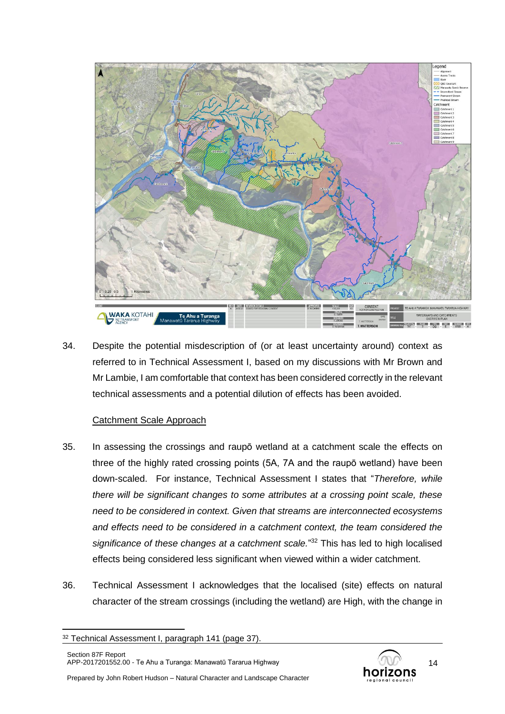

34. Despite the potential misdescription of (or at least uncertainty around) context as referred to in Technical Assessment I, based on my discussions with Mr Brown and Mr Lambie, I am comfortable that context has been considered correctly in the relevant technical assessments and a potential dilution of effects has been avoided.

## Catchment Scale Approach

- 35. In assessing the crossings and raupō wetland at a catchment scale the effects on three of the highly rated crossing points (5A, 7A and the raupō wetland) have been down-scaled. For instance, Technical Assessment I states that "*Therefore, while there will be significant changes to some attributes at a crossing point scale, these need to be considered in context. Given that streams are interconnected ecosystems and effects need to be considered in a catchment context, the team considered the significance of these changes at a catchment scale.*" <sup>32</sup> This has led to high localised effects being considered less significant when viewed within a wider catchment.
- 36. Technical Assessment I acknowledges that the localised (site) effects on natural character of the stream crossings (including the wetland) are High, with the change in



<sup>&</sup>lt;sup>32</sup> Technical Assessment I, paragraph 141 (page 37).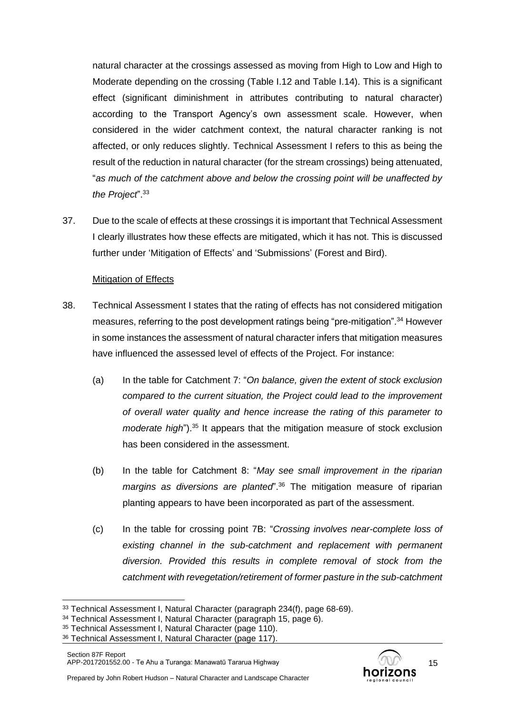natural character at the crossings assessed as moving from High to Low and High to Moderate depending on the crossing (Table I.12 and Table I.14). This is a significant effect (significant diminishment in attributes contributing to natural character) according to the Transport Agency's own assessment scale. However, when considered in the wider catchment context, the natural character ranking is not affected, or only reduces slightly. Technical Assessment I refers to this as being the result of the reduction in natural character (for the stream crossings) being attenuated, "*as much of the catchment above and below the crossing point will be unaffected by the Project*". 33

37. Due to the scale of effects at these crossings it is important that Technical Assessment I clearly illustrates how these effects are mitigated, which it has not. This is discussed further under 'Mitigation of Effects' and 'Submissions' (Forest and Bird).

### Mitigation of Effects

- 38. Technical Assessment I states that the rating of effects has not considered mitigation measures, referring to the post development ratings being "pre-mitigation".<sup>34</sup> However in some instances the assessment of natural character infers that mitigation measures have influenced the assessed level of effects of the Project. For instance:
	- (a) In the table for Catchment 7: "*On balance, given the extent of stock exclusion compared to the current situation, the Project could lead to the improvement of overall water quality and hence increase the rating of this parameter to moderate high*"). <sup>35</sup> It appears that the mitigation measure of stock exclusion has been considered in the assessment.
	- (b) In the table for Catchment 8: "*May see small improvement in the riparian margins as diversions are planted*". <sup>36</sup> The mitigation measure of riparian planting appears to have been incorporated as part of the assessment.
	- (c) In the table for crossing point 7B: "*Crossing involves near-complete loss of existing channel in the sub-catchment and replacement with permanent diversion. Provided this results in complete removal of stock from the catchment with revegetation/retirement of former pasture in the sub-catchment*



<sup>&</sup>lt;sup>33</sup> Technical Assessment I, Natural Character (paragraph 234(f), page 68-69).

<sup>34</sup> Technical Assessment I, Natural Character (paragraph 15, page 6).

<sup>35</sup> Technical Assessment I, Natural Character (page 110).

<sup>36</sup> Technical Assessment I, Natural Character (page 117).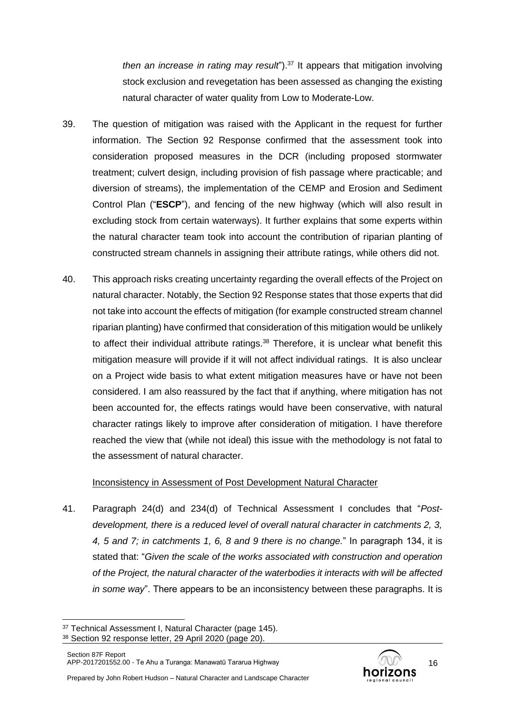*then an increase in rating may result*").<sup>37</sup> It appears that mitigation involving stock exclusion and revegetation has been assessed as changing the existing natural character of water quality from Low to Moderate-Low.

- 39. The question of mitigation was raised with the Applicant in the request for further information. The Section 92 Response confirmed that the assessment took into consideration proposed measures in the DCR (including proposed stormwater treatment; culvert design, including provision of fish passage where practicable; and diversion of streams), the implementation of the CEMP and Erosion and Sediment Control Plan ("**ESCP**"), and fencing of the new highway (which will also result in excluding stock from certain waterways). It further explains that some experts within the natural character team took into account the contribution of riparian planting of constructed stream channels in assigning their attribute ratings, while others did not.
- 40. This approach risks creating uncertainty regarding the overall effects of the Project on natural character. Notably, the Section 92 Response states that those experts that did not take into account the effects of mitigation (for example constructed stream channel riparian planting) have confirmed that consideration of this mitigation would be unlikely to affect their individual attribute ratings. $38$  Therefore, it is unclear what benefit this mitigation measure will provide if it will not affect individual ratings. It is also unclear on a Project wide basis to what extent mitigation measures have or have not been considered. I am also reassured by the fact that if anything, where mitigation has not been accounted for, the effects ratings would have been conservative, with natural character ratings likely to improve after consideration of mitigation. I have therefore reached the view that (while not ideal) this issue with the methodology is not fatal to the assessment of natural character.

### Inconsistency in Assessment of Post Development Natural Character

41. Paragraph 24(d) and 234(d) of Technical Assessment I concludes that "*Postdevelopment, there is a reduced level of overall natural character in catchments 2, 3, 4, 5 and 7; in catchments 1, 6, 8 and 9 there is no change.*" In paragraph 134, it is stated that: "*Given the scale of the works associated with construction and operation of the Project, the natural character of the waterbodies it interacts with will be affected in some way*". There appears to be an inconsistency between these paragraphs. It is



<sup>37</sup> Technical Assessment I, Natural Character (page 145).

<sup>38</sup> Section 92 response letter, 29 April 2020 (page 20).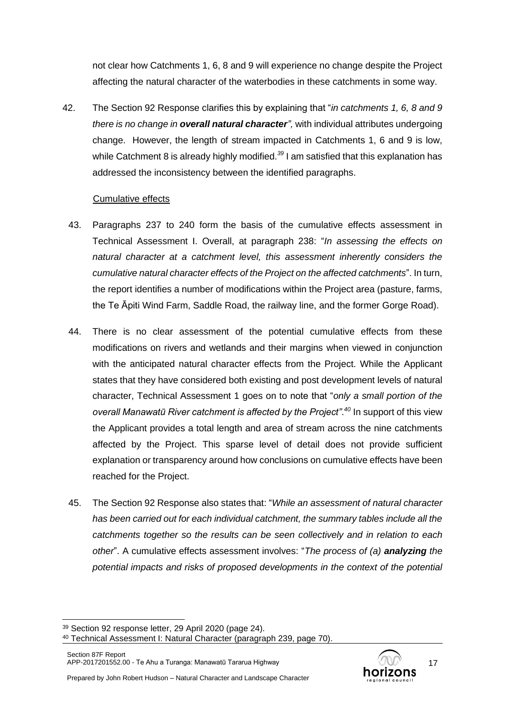not clear how Catchments 1, 6, 8 and 9 will experience no change despite the Project affecting the natural character of the waterbodies in these catchments in some way.

42. The Section 92 Response clarifies this by explaining that "*in catchments 1, 6, 8 and 9 there is no change in overall natural character",* with individual attributes undergoing change. However, the length of stream impacted in Catchments 1, 6 and 9 is low, while Catchment 8 is already highly modified.<sup>39</sup> I am satisfied that this explanation has addressed the inconsistency between the identified paragraphs.

### Cumulative effects

- 43. Paragraphs 237 to 240 form the basis of the cumulative effects assessment in Technical Assessment I. Overall, at paragraph 238: "*In assessing the effects on natural character at a catchment level, this assessment inherently considers the cumulative natural character effects of the Project on the affected catchments*". In turn, the report identifies a number of modifications within the Project area (pasture, farms, the Te Āpiti Wind Farm, Saddle Road, the railway line, and the former Gorge Road).
- 44. There is no clear assessment of the potential cumulative effects from these modifications on rivers and wetlands and their margins when viewed in conjunction with the anticipated natural character effects from the Project. While the Applicant states that they have considered both existing and post development levels of natural character, Technical Assessment 1 goes on to note that "*only a small portion of the overall Manawatū River catchment is affected by the Project"*. *<sup>40</sup>* In support of this view the Applicant provides a total length and area of stream across the nine catchments affected by the Project. This sparse level of detail does not provide sufficient explanation or transparency around how conclusions on cumulative effects have been reached for the Project.
- 45. The Section 92 Response also states that: "*While an assessment of natural character has been carried out for each individual catchment, the summary tables include all the catchments together so the results can be seen collectively and in relation to each other*". A cumulative effects assessment involves: "*The process of (a) analyzing the potential impacts and risks of proposed developments in the context of the potential*



<sup>39</sup> Section 92 response letter, 29 April 2020 (page 24).

<sup>40</sup> Technical Assessment I: Natural Character (paragraph 239, page 70).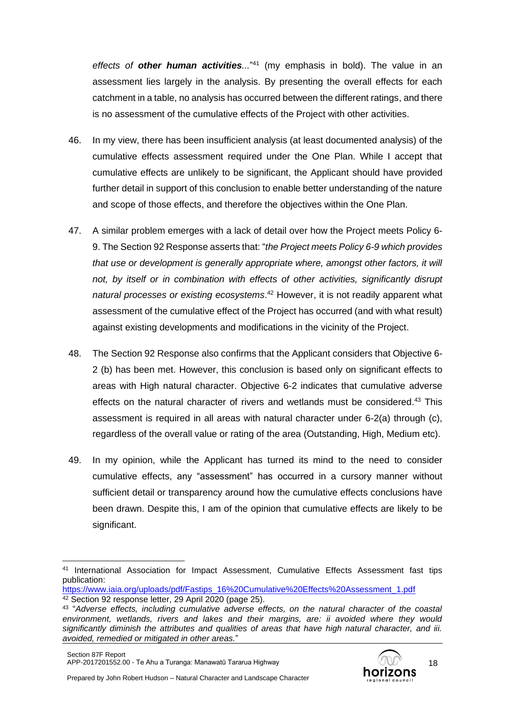*effects of other human activities...*" <sup>41</sup> (my emphasis in bold). The value in an assessment lies largely in the analysis. By presenting the overall effects for each catchment in a table, no analysis has occurred between the different ratings, and there is no assessment of the cumulative effects of the Project with other activities.

- 46. In my view, there has been insufficient analysis (at least documented analysis) of the cumulative effects assessment required under the One Plan. While I accept that cumulative effects are unlikely to be significant, the Applicant should have provided further detail in support of this conclusion to enable better understanding of the nature and scope of those effects, and therefore the objectives within the One Plan.
- 47. A similar problem emerges with a lack of detail over how the Project meets Policy 6- 9. The Section 92 Response asserts that: "*the Project meets Policy 6-9 which provides that use or development is generally appropriate where, amongst other factors, it will not, by itself or in combination with effects of other activities, significantly disrupt natural processes or existing ecosystems*. <sup>42</sup> However, it is not readily apparent what assessment of the cumulative effect of the Project has occurred (and with what result) against existing developments and modifications in the vicinity of the Project.
- 48. The Section 92 Response also confirms that the Applicant considers that Objective 6- 2 (b) has been met. However, this conclusion is based only on significant effects to areas with High natural character. Objective 6-2 indicates that cumulative adverse effects on the natural character of rivers and wetlands must be considered.<sup>43</sup> This assessment is required in all areas with natural character under 6-2(a) through (c), regardless of the overall value or rating of the area (Outstanding, High, Medium etc).
- 49. In my opinion, while the Applicant has turned its mind to the need to consider cumulative effects, any "assessment" has occurred in a cursory manner without sufficient detail or transparency around how the cumulative effects conclusions have been drawn. Despite this, I am of the opinion that cumulative effects are likely to be significant.



<sup>41</sup> International Association for Impact Assessment, Cumulative Effects Assessment fast tips publication:

[https://www.iaia.org/uploads/pdf/Fastips\\_16%20Cumulative%20Effects%20Assessment\\_1.pdf](https://www.iaia.org/uploads/pdf/Fastips_16%20Cumulative%20Effects%20Assessment_1.pdf) <sup>42</sup> Section 92 response letter, 29 April 2020 (page 25).

<sup>43</sup> "*Adverse effects, including cumulative adverse effects, on the natural character of the coastal environment, wetlands, rivers and lakes and their margins, are: ii avoided where they would significantly diminish the attributes and qualities of areas that have high natural character, and iii. avoided, remedied or mitigated in other areas.*"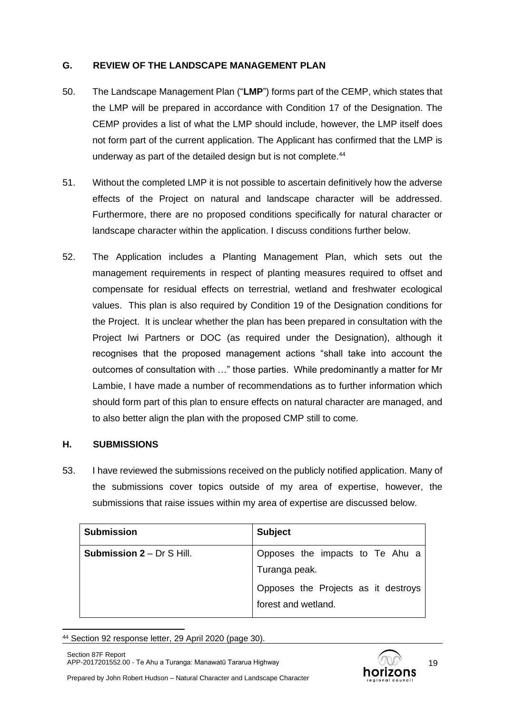## **G. REVIEW OF THE LANDSCAPE MANAGEMENT PLAN**

- 50. The Landscape Management Plan ("**LMP**") forms part of the CEMP, which states that the LMP will be prepared in accordance with Condition 17 of the Designation. The CEMP provides a list of what the LMP should include, however, the LMP itself does not form part of the current application. The Applicant has confirmed that the LMP is underway as part of the detailed design but is not complete.<sup>44</sup>
- 51. Without the completed LMP it is not possible to ascertain definitively how the adverse effects of the Project on natural and landscape character will be addressed. Furthermore, there are no proposed conditions specifically for natural character or landscape character within the application. I discuss conditions further below.
- 52. The Application includes a Planting Management Plan, which sets out the management requirements in respect of planting measures required to offset and compensate for residual effects on terrestrial, wetland and freshwater ecological values. This plan is also required by Condition 19 of the Designation conditions for the Project. It is unclear whether the plan has been prepared in consultation with the Project Iwi Partners or DOC (as required under the Designation), although it recognises that the proposed management actions "shall take into account the outcomes of consultation with …" those parties. While predominantly a matter for Mr Lambie, I have made a number of recommendations as to further information which should form part of this plan to ensure effects on natural character are managed, and to also better align the plan with the proposed CMP still to come.

## **H. SUBMISSIONS**

53. I have reviewed the submissions received on the publicly notified application. Many of the submissions cover topics outside of my area of expertise, however, the submissions that raise issues within my area of expertise are discussed below.

| <b>Submission</b>                | <b>Subject</b>                      |
|----------------------------------|-------------------------------------|
| <b>Submission 2</b> – Dr S Hill. | Opposes the impacts to Te Ahu a     |
|                                  | Turanga peak.                       |
|                                  | Opposes the Projects as it destroys |
|                                  | forest and wetland.                 |

<sup>44</sup> Section 92 response letter, 29 April 2020 (page 30).

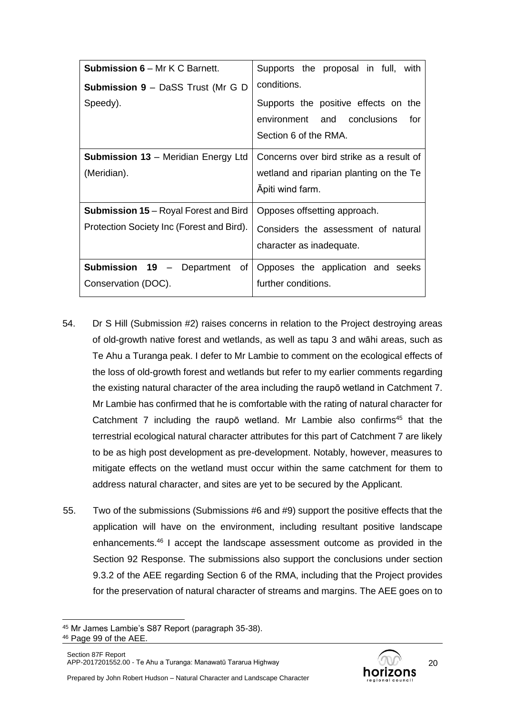| <b>Submission 6 – Mr K C Barnett.</b>                                   | Supports the proposal in full, with                                                                     |
|-------------------------------------------------------------------------|---------------------------------------------------------------------------------------------------------|
| <b>Submission 9 – DaSS Trust (Mr G D</b>                                | conditions.                                                                                             |
| Speedy).                                                                | Supports the positive effects on the<br>environment and conclusions<br>for<br>Section 6 of the RMA.     |
| <b>Submission 13</b> – Meridian Energy Ltd<br>(Meridian).               | Concerns over bird strike as a result of<br>wetland and riparian planting on the Te<br>Apiti wind farm. |
| <b>Submission 15</b> – Royal Forest and Bird                            | Opposes offsetting approach.                                                                            |
| Protection Society Inc (Forest and Bird).                               | Considers the assessment of natural<br>character as inadequate.                                         |
| Submission 19<br>of <sub>1</sub><br>- Department<br>Conservation (DOC). | Opposes the application and seeks<br>further conditions.                                                |

- 54. Dr S Hill (Submission #2) raises concerns in relation to the Project destroying areas of old-growth native forest and wetlands, as well as tapu 3 and wāhi areas, such as Te Ahu a Turanga peak. I defer to Mr Lambie to comment on the ecological effects of the loss of old-growth forest and wetlands but refer to my earlier comments regarding the existing natural character of the area including the raupō wetland in Catchment 7. Mr Lambie has confirmed that he is comfortable with the rating of natural character for Catchment 7 including the raupo wetland. Mr Lambie also confirms<sup>45</sup> that the terrestrial ecological natural character attributes for this part of Catchment 7 are likely to be as high post development as pre-development. Notably, however, measures to mitigate effects on the wetland must occur within the same catchment for them to address natural character, and sites are yet to be secured by the Applicant.
- 55. Two of the submissions (Submissions #6 and #9) support the positive effects that the application will have on the environment, including resultant positive landscape enhancements.<sup>46</sup> I accept the landscape assessment outcome as provided in the Section 92 Response. The submissions also support the conclusions under section 9.3.2 of the AEE regarding Section 6 of the RMA, including that the Project provides for the preservation of natural character of streams and margins. The AEE goes on to



<sup>45</sup> Mr James Lambie's S87 Report (paragraph 35-38).

<sup>46</sup> Page 99 of the AEE.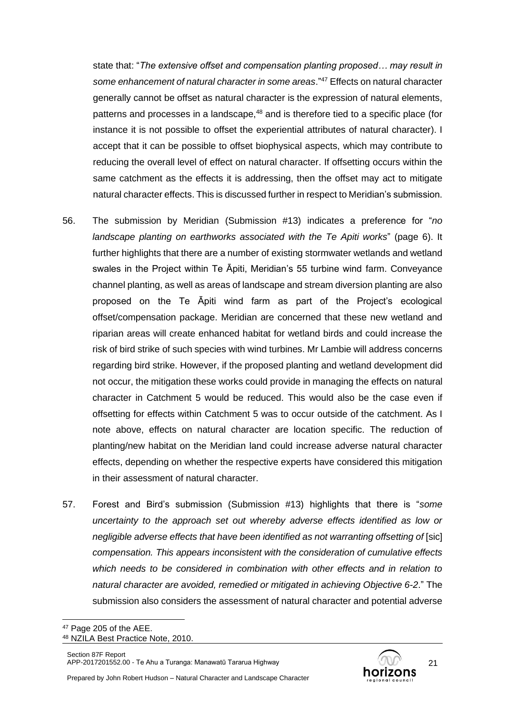state that: "*The extensive offset and compensation planting proposed… may result in some enhancement of natural character in some areas*."<sup>47</sup> Effects on natural character generally cannot be offset as natural character is the expression of natural elements, patterns and processes in a landscape,<sup>48</sup> and is therefore tied to a specific place (for instance it is not possible to offset the experiential attributes of natural character). I accept that it can be possible to offset biophysical aspects, which may contribute to reducing the overall level of effect on natural character. If offsetting occurs within the same catchment as the effects it is addressing, then the offset may act to mitigate natural character effects. This is discussed further in respect to Meridian's submission.

- 56. The submission by Meridian (Submission #13) indicates a preference for "*no landscape planting on earthworks associated with the Te Apiti works*" (page 6). It further highlights that there are a number of existing stormwater wetlands and wetland swales in the Project within Te Āpiti, Meridian's 55 turbine wind farm. Conveyance channel planting, as well as areas of landscape and stream diversion planting are also proposed on the Te Āpiti wind farm as part of the Project's ecological offset/compensation package. Meridian are concerned that these new wetland and riparian areas will create enhanced habitat for wetland birds and could increase the risk of bird strike of such species with wind turbines. Mr Lambie will address concerns regarding bird strike. However, if the proposed planting and wetland development did not occur, the mitigation these works could provide in managing the effects on natural character in Catchment 5 would be reduced. This would also be the case even if offsetting for effects within Catchment 5 was to occur outside of the catchment. As I note above, effects on natural character are location specific. The reduction of planting/new habitat on the Meridian land could increase adverse natural character effects, depending on whether the respective experts have considered this mitigation in their assessment of natural character.
- 57. Forest and Bird's submission (Submission #13) highlights that there is "*some uncertainty to the approach set out whereby adverse effects identified as low or negligible adverse effects that have been identified as not warranting offsetting of* [sic] *compensation. This appears inconsistent with the consideration of cumulative effects which needs to be considered in combination with other effects and in relation to natural character are avoided, remedied or mitigated in achieving Objective 6-2*." The submission also considers the assessment of natural character and potential adverse



<sup>47</sup> Page 205 of the AEE.

<sup>48</sup> NZILA Best Practice Note, 2010.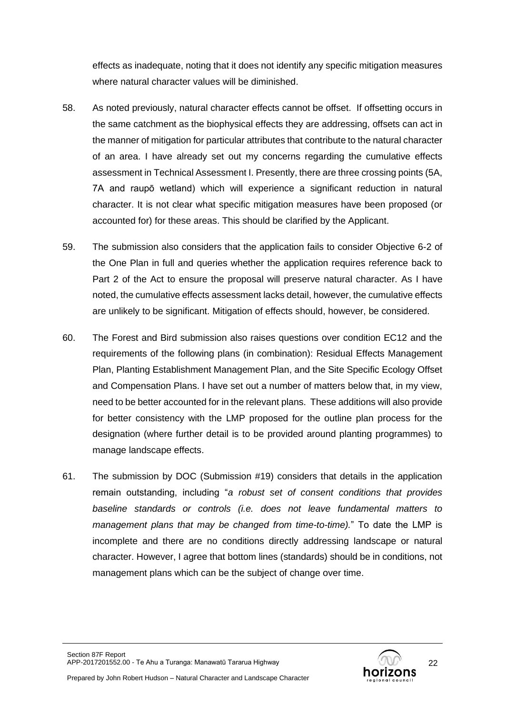effects as inadequate, noting that it does not identify any specific mitigation measures where natural character values will be diminished.

- 58. As noted previously, natural character effects cannot be offset. If offsetting occurs in the same catchment as the biophysical effects they are addressing, offsets can act in the manner of mitigation for particular attributes that contribute to the natural character of an area. I have already set out my concerns regarding the cumulative effects assessment in Technical Assessment I. Presently, there are three crossing points (5A, 7A and raupō wetland) which will experience a significant reduction in natural character. It is not clear what specific mitigation measures have been proposed (or accounted for) for these areas. This should be clarified by the Applicant.
- 59. The submission also considers that the application fails to consider Objective 6-2 of the One Plan in full and queries whether the application requires reference back to Part 2 of the Act to ensure the proposal will preserve natural character. As I have noted, the cumulative effects assessment lacks detail, however, the cumulative effects are unlikely to be significant. Mitigation of effects should, however, be considered.
- 60. The Forest and Bird submission also raises questions over condition EC12 and the requirements of the following plans (in combination): Residual Effects Management Plan, Planting Establishment Management Plan, and the Site Specific Ecology Offset and Compensation Plans. I have set out a number of matters below that, in my view, need to be better accounted for in the relevant plans. These additions will also provide for better consistency with the LMP proposed for the outline plan process for the designation (where further detail is to be provided around planting programmes) to manage landscape effects.
- 61. The submission by DOC (Submission #19) considers that details in the application remain outstanding, including "*a robust set of consent conditions that provides baseline standards or controls (i.e. does not leave fundamental matters to management plans that may be changed from time-to-time).*" To date the LMP is incomplete and there are no conditions directly addressing landscape or natural character. However, I agree that bottom lines (standards) should be in conditions, not management plans which can be the subject of change over time.

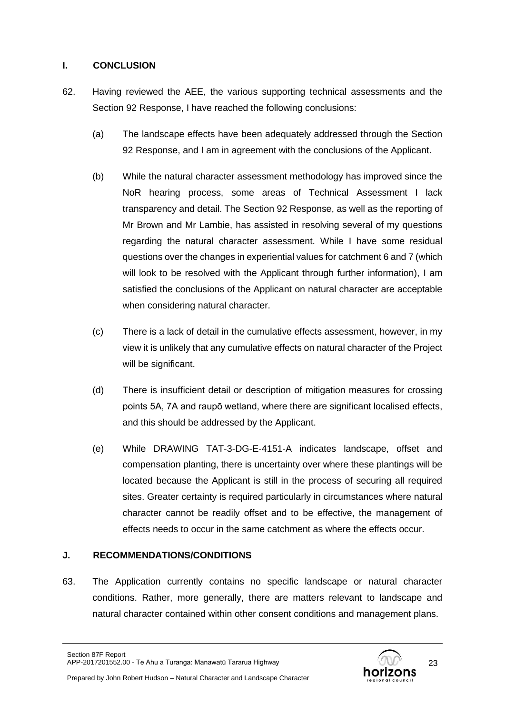## **I. CONCLUSION**

- 62. Having reviewed the AEE, the various supporting technical assessments and the Section 92 Response, I have reached the following conclusions:
	- (a) The landscape effects have been adequately addressed through the Section 92 Response, and I am in agreement with the conclusions of the Applicant.
	- (b) While the natural character assessment methodology has improved since the NoR hearing process, some areas of Technical Assessment I lack transparency and detail. The Section 92 Response, as well as the reporting of Mr Brown and Mr Lambie, has assisted in resolving several of my questions regarding the natural character assessment. While I have some residual questions over the changes in experiential values for catchment 6 and 7 (which will look to be resolved with the Applicant through further information), I am satisfied the conclusions of the Applicant on natural character are acceptable when considering natural character.
	- (c) There is a lack of detail in the cumulative effects assessment, however, in my view it is unlikely that any cumulative effects on natural character of the Project will be significant.
	- (d) There is insufficient detail or description of mitigation measures for crossing points 5A, 7A and raupō wetland, where there are significant localised effects, and this should be addressed by the Applicant.
	- (e) While DRAWING TAT-3-DG-E-4151-A indicates landscape, offset and compensation planting, there is uncertainty over where these plantings will be located because the Applicant is still in the process of securing all required sites. Greater certainty is required particularly in circumstances where natural character cannot be readily offset and to be effective, the management of effects needs to occur in the same catchment as where the effects occur.

## **J. RECOMMENDATIONS/CONDITIONS**

63. The Application currently contains no specific landscape or natural character conditions. Rather, more generally, there are matters relevant to landscape and natural character contained within other consent conditions and management plans.

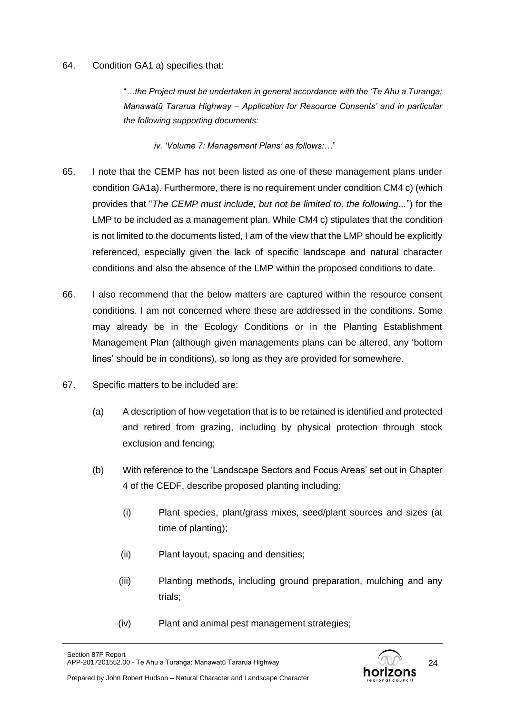### 64. Condition GA1 a) specifies that:

"*…the Project must be undertaken in general accordance with the 'Te Ahu a Turanga; Manawatū Tararua Highway – Application for Resource Consents' and in particular the following supporting documents:*

*iv. 'Volume 7: Management Plans' as follows:…*"

- 65. I note that the CEMP has not been listed as one of these management plans under condition GA1a). Furthermore, there is no requirement under condition CM4 c) (which provides that "*The CEMP must include, but not be limited to, the following...*") for the LMP to be included as a management plan. While CM4 c) stipulates that the condition is not limited to the documents listed, I am of the view that the LMP should be explicitly referenced, especially given the lack of specific landscape and natural character conditions and also the absence of the LMP within the proposed conditions to date.
- 66. I also recommend that the below matters are captured within the resource consent conditions. I am not concerned where these are addressed in the conditions. Some may already be in the Ecology Conditions or in the Planting Establishment Management Plan (although given managements plans can be altered, any 'bottom lines' should be in conditions), so long as they are provided for somewhere.
- 67. Specific matters to be included are:
	- (a) A description of how vegetation that is to be retained is identified and protected and retired from grazing, including by physical protection through stock exclusion and fencing;
	- (b) With reference to the 'Landscape Sectors and Focus Areas' set out in Chapter 4 of the CEDF, describe proposed planting including:
		- (i) Plant species, plant/grass mixes, seed/plant sources and sizes (at time of planting);
		- (ii) Plant layout, spacing and densities;
		- (iii) Planting methods, including ground preparation, mulching and any trials;
		- (iv) Plant and animal pest management strategies;

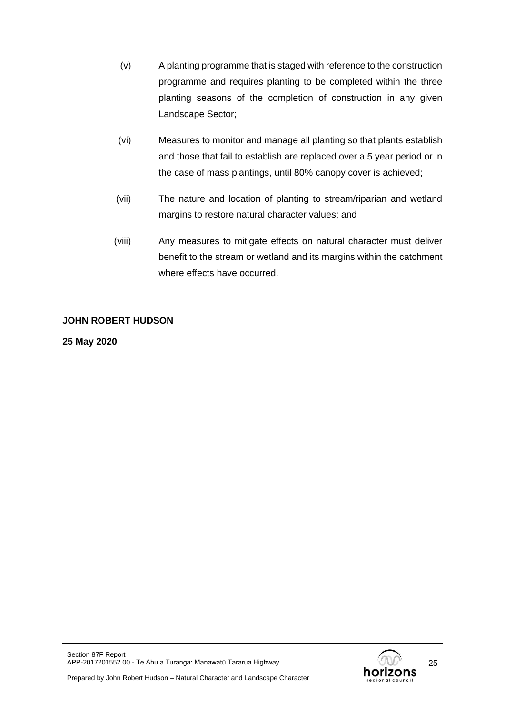- (v) A planting programme that is staged with reference to the construction programme and requires planting to be completed within the three planting seasons of the completion of construction in any given Landscape Sector;
- (vi) Measures to monitor and manage all planting so that plants establish and those that fail to establish are replaced over a 5 year period or in the case of mass plantings, until 80% canopy cover is achieved;
- (vii) The nature and location of planting to stream/riparian and wetland margins to restore natural character values; and
- (viii) Any measures to mitigate effects on natural character must deliver benefit to the stream or wetland and its margins within the catchment where effects have occurred.

## **JOHN ROBERT HUDSON**

**25 May 2020**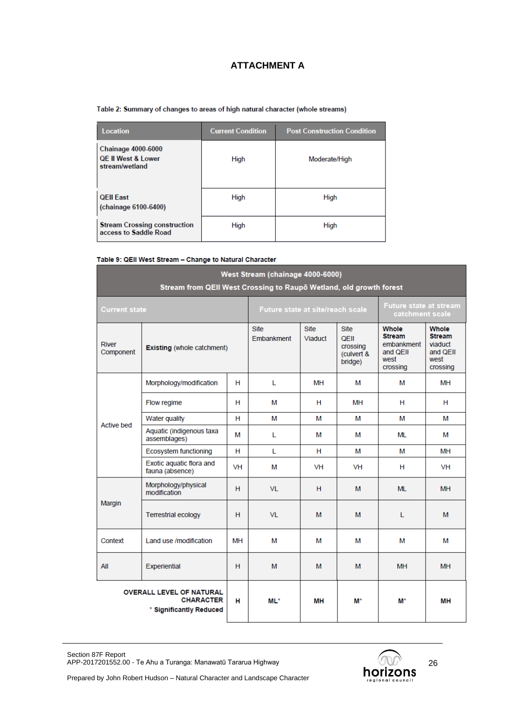# **ATTACHMENT A**

#### Table 2: Summary of changes to areas of high natural character (whole streams)

| <b>Location</b>                                                              | <b>Current Condition</b> | <b>Post Construction Condition</b> |
|------------------------------------------------------------------------------|--------------------------|------------------------------------|
| <b>Chainage 4000-6000</b><br><b>QE II West &amp; Lower</b><br>stream/wetland | High                     | Moderate/High                      |
| <b>QEII East</b><br>(chainage 6100-6400)                                     | High                     | High                               |
| <b>Stream Crossing construction</b><br>access to Saddle Road                 | High                     | High                               |

#### Table 9: QEII West Stream - Change to Natural Character

| West Stream (chainage 4000-6000)                                                    |                                             |           |                                  |                        |                                                          |                                                                             |                                                                   |
|-------------------------------------------------------------------------------------|---------------------------------------------|-----------|----------------------------------|------------------------|----------------------------------------------------------|-----------------------------------------------------------------------------|-------------------------------------------------------------------|
| Stream from QEII West Crossing to Raupō Wetland, old growth forest                  |                                             |           |                                  |                        |                                                          |                                                                             |                                                                   |
| <b>Current state</b>                                                                |                                             |           | Future state at site/reach scale |                        |                                                          | <b>Future state at stream</b><br>catchment scale                            |                                                                   |
| River<br>Component                                                                  | <b>Existing (whole catchment)</b>           |           | <b>Site</b><br>Embankment        | <b>Site</b><br>Viaduct | <b>Site</b><br>QEII<br>crossing<br>(culvert &<br>bridge) | <b>Whole</b><br><b>Stream</b><br>embankment<br>and QEII<br>west<br>crossing | Whole<br><b>Stream</b><br>viaduct<br>and QEII<br>west<br>crossing |
|                                                                                     | Morphology/modification                     | н         | L                                | ΜН                     | м                                                        | м                                                                           | MH                                                                |
|                                                                                     | Flow regime                                 | н         | М                                | н                      | MН                                                       | н                                                                           | н                                                                 |
| <b>Active bed</b>                                                                   | Water quality                               | н         | м                                | м                      | м                                                        | м                                                                           | м                                                                 |
|                                                                                     | Aquatic (indigenous taxa<br>assemblages)    | м         | L                                | м                      | м                                                        | ML                                                                          | м                                                                 |
|                                                                                     | <b>Ecosystem functioning</b>                | н         | L                                | н                      | м                                                        | м                                                                           | MH                                                                |
|                                                                                     | Exotic aquatic flora and<br>fauna (absence) | <b>VH</b> | М                                | VH                     | VH                                                       | н                                                                           | <b>VH</b>                                                         |
|                                                                                     | Morphology/physical<br>modification         | H         | <b>VL</b>                        | н                      | M                                                        | <b>ML</b>                                                                   | <b>MH</b>                                                         |
| Margin                                                                              | <b>Terrestrial ecology</b>                  | H         | VL                               | м                      | м                                                        | L                                                                           | м                                                                 |
| Context                                                                             | Land use /modification                      | MН        | М                                | м                      | м                                                        | м                                                                           | м                                                                 |
| All<br>Experiential<br>н                                                            |                                             |           | м                                | м                      | м                                                        | <b>MH</b>                                                                   | <b>MH</b>                                                         |
| <b>OVERALL LEVEL OF NATURAL</b><br><b>CHARACTER</b><br>н<br>* Significantly Reduced |                                             |           | $ML^*$                           | MН                     | M*                                                       | M*                                                                          | MН                                                                |